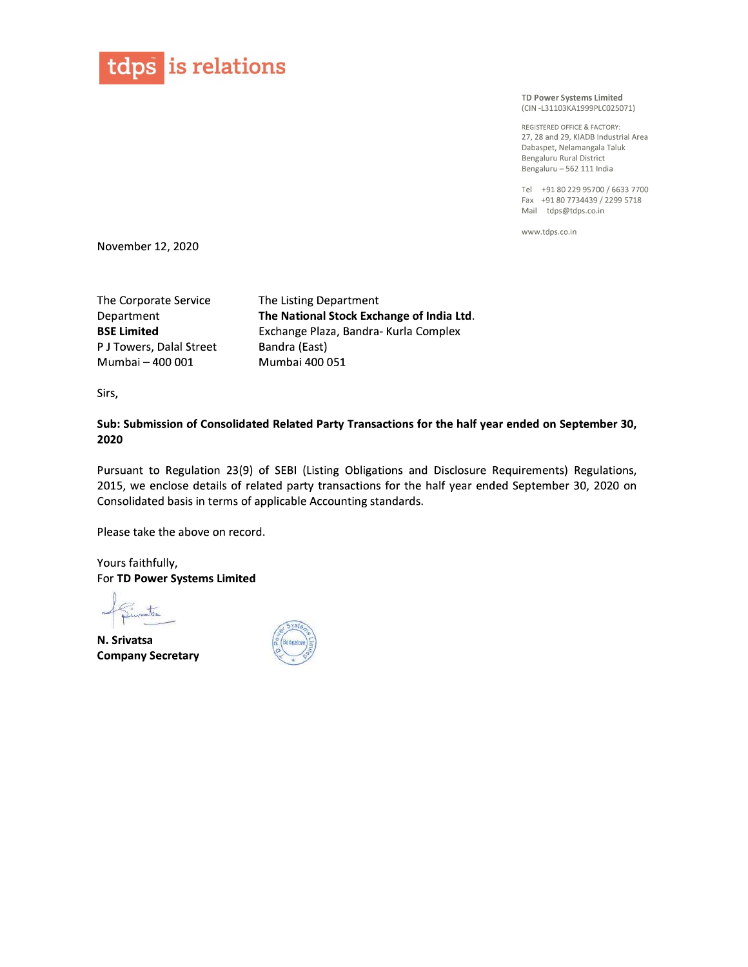

TD Power Systems Limited (CIN-L31103KA1999PLC025071)

REGISTERED OFFICE & FACTORY: 27, 28 and 29, KIADB Industrial Area Dabaspet, Nelamangala Taluk Bengaluru Rural District Bengaluru - 562 111 India

Tel +91 80 229 95700 / 6633 7700 Fax +91 80 7734439 / 2299 5718 Mail tdps@tdps.co.in

www.tdps.co.in

November 12, 2020

The Corporate Service Department BSE Limited P J Towers, Dalal Street Mumbai - 400 001

The Listing Department The National Stock Exchange of India Ltd. Exchange Plaza, Bandra- Kurla Complex Bandra (East) Mumbai 400 051

Sirs,

Sub: Submission of Consolidated Related Party Transactions for the half year ended on September 30, 2020

Pursuant to Regulation 23(9) of SEBI (Listing Obligations and Disclosure Requirements) Regulations, 2015, we enclose details of related party transactions for the half year ended September 30, 2020 on Consolidated basis in terms of applicable Accounting standards.

Please take the above on record.

Yours faithfully, For TD Power Systems Limited

N. Srivatsa Company Secretary